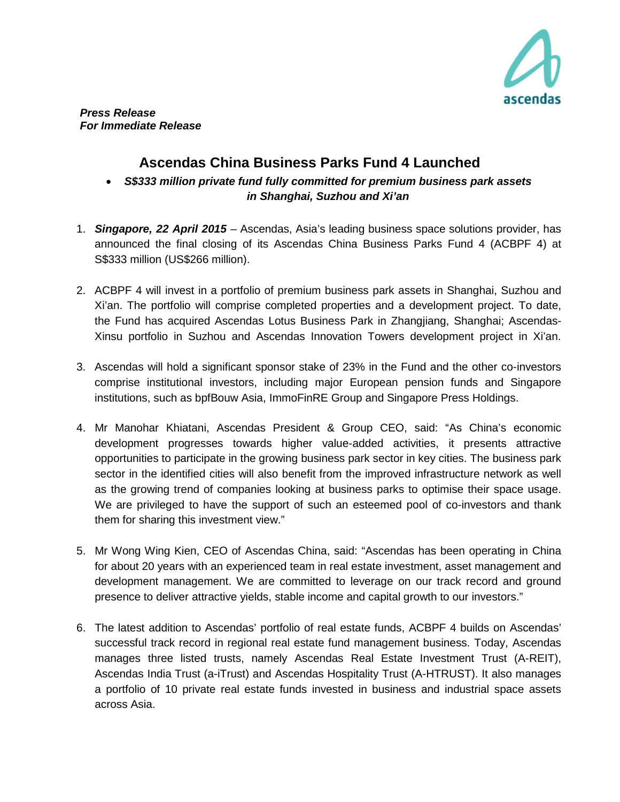

## **Ascendas China Business Parks Fund 4 Launched**

• *S\$333 million private fund fully committed for premium business park assets in Shanghai, Suzhou and Xi'an*

- 1. *Singapore, 22 April 2015* Ascendas, Asia's leading business space solutions provider, has announced the final closing of its Ascendas China Business Parks Fund 4 (ACBPF 4) at S\$333 million (US\$266 million).
- 2. ACBPF 4 will invest in a portfolio of premium business park assets in Shanghai, Suzhou and Xi'an. The portfolio will comprise completed properties and a development project. To date, the Fund has acquired Ascendas Lotus Business Park in Zhangjiang, Shanghai; Ascendas-Xinsu portfolio in Suzhou and Ascendas Innovation Towers development project in Xi'an.
- 3. Ascendas will hold a significant sponsor stake of 23% in the Fund and the other co-investors comprise institutional investors, including major European pension funds and Singapore institutions, such as bpfBouw Asia, ImmoFinRE Group and Singapore Press Holdings.
- 4. Mr Manohar Khiatani, Ascendas President & Group CEO, said: "As China's economic development progresses towards higher value-added activities, it presents attractive opportunities to participate in the growing business park sector in key cities. The business park sector in the identified cities will also benefit from the improved infrastructure network as well as the growing trend of companies looking at business parks to optimise their space usage. We are privileged to have the support of such an esteemed pool of co-investors and thank them for sharing this investment view."
- 5. Mr Wong Wing Kien, CEO of Ascendas China, said: "Ascendas has been operating in China for about 20 years with an experienced team in real estate investment, asset management and development management. We are committed to leverage on our track record and ground presence to deliver attractive yields, stable income and capital growth to our investors."
- 6. The latest addition to Ascendas' portfolio of real estate funds, ACBPF 4 builds on Ascendas' successful track record in regional real estate fund management business. Today, Ascendas manages three listed trusts, namely Ascendas Real Estate Investment Trust (A-REIT), Ascendas India Trust (a-iTrust) and Ascendas Hospitality Trust (A-HTRUST). It also manages a portfolio of 10 private real estate funds invested in business and industrial space assets across Asia.